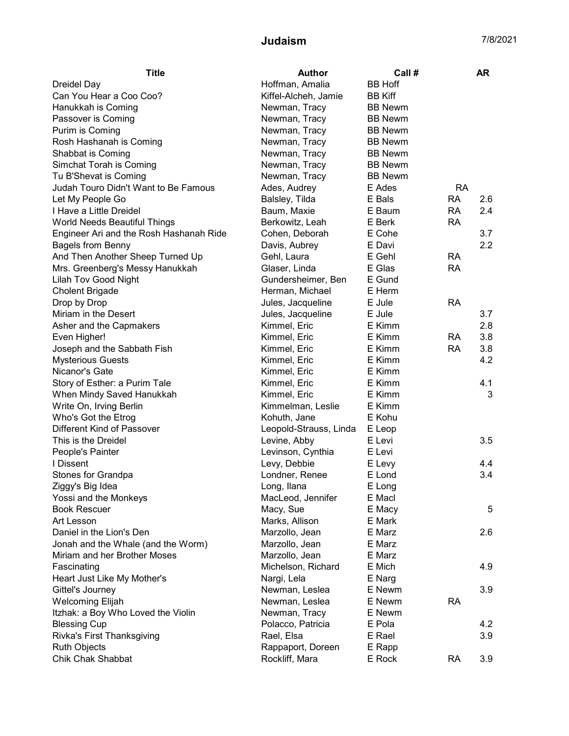## Judaism 7/8/2021

| <b>Title</b>                            | <b>Author</b>          | Call #         |           | <b>AR</b> |
|-----------------------------------------|------------------------|----------------|-----------|-----------|
| <b>Dreidel Day</b>                      | Hoffman, Amalia        | <b>BB Hoff</b> |           |           |
| Can You Hear a Coo Coo?                 | Kiffel-Alcheh, Jamie   | <b>BB Kiff</b> |           |           |
| Hanukkah is Coming                      | Newman, Tracy          | <b>BB Newm</b> |           |           |
| Passover is Coming                      | Newman, Tracy          | <b>BB Newm</b> |           |           |
| Purim is Coming                         | Newman, Tracy          | <b>BB Newm</b> |           |           |
| Rosh Hashanah is Coming                 | Newman, Tracy          | <b>BB Newm</b> |           |           |
| Shabbat is Coming                       | Newman, Tracy          | <b>BB Newm</b> |           |           |
| Simchat Torah is Coming                 | Newman, Tracy          | <b>BB Newm</b> |           |           |
| Tu B'Shevat is Coming                   | Newman, Tracy          | <b>BB Newm</b> |           |           |
| Judah Touro Didn't Want to Be Famous    | Ades, Audrey           | E Ades         | <b>RA</b> |           |
| Let My People Go                        | Balsley, Tilda         | E Bals         | <b>RA</b> | 2.6       |
| I Have a Little Dreidel                 | Baum, Maxie            | E Baum         | <b>RA</b> | 2.4       |
| World Needs Beautiful Things            | Berkowitz, Leah        | E Berk         | <b>RA</b> |           |
| Engineer Ari and the Rosh Hashanah Ride | Cohen, Deborah         | E Cohe         |           | 3.7       |
| <b>Bagels from Benny</b>                | Davis, Aubrey          | E Davi         |           | 2.2       |
| And Then Another Sheep Turned Up        | Gehl, Laura            | E Gehl         | <b>RA</b> |           |
| Mrs. Greenberg's Messy Hanukkah         | Glaser, Linda          | E Glas         | <b>RA</b> |           |
| <b>Lilah Tov Good Night</b>             | Gundersheimer, Ben     | E Gund         |           |           |
| <b>Cholent Brigade</b>                  | Herman, Michael        | E Herm         |           |           |
| Drop by Drop                            | Jules, Jacqueline      | E Jule         | <b>RA</b> |           |
| Miriam in the Desert                    | Jules, Jacqueline      | E Jule         |           | 3.7       |
| Asher and the Capmakers                 | Kimmel, Eric           | E Kimm         |           | 2.8       |
| Even Higher!                            | Kimmel, Eric           | E Kimm         | <b>RA</b> | 3.8       |
| Joseph and the Sabbath Fish             | Kimmel, Eric           | E Kimm         | <b>RA</b> | 3.8       |
| <b>Mysterious Guests</b>                | Kimmel, Eric           | E Kimm         |           | 4.2       |
| Nicanor's Gate                          | Kimmel, Eric           | E Kimm         |           |           |
| Story of Esther: a Purim Tale           | Kimmel, Eric           | E Kimm         |           | 4.1       |
| When Mindy Saved Hanukkah               | Kimmel, Eric           | E Kimm         |           | 3         |
| Write On, Irving Berlin                 | Kimmelman, Leslie      | E Kimm         |           |           |
| Who's Got the Etrog                     | Kohuth, Jane           | E Kohu         |           |           |
| Different Kind of Passover              | Leopold-Strauss, Linda | E Leop         |           |           |
| This is the Dreidel                     | Levine, Abby           | E Levi         |           | 3.5       |
| People's Painter                        | Levinson, Cynthia      | E Levi         |           |           |
| I Dissent                               | Levy, Debbie           | E Levy         |           | 4.4       |
| Stones for Grandpa                      | Londner, Renee         | E Lond         |           | 3.4       |
| Ziggy's Big Idea                        | Long, Ilana            | E Long         |           |           |
| Yossi and the Monkeys                   | MacLeod, Jennifer      | E Macl         |           |           |
| <b>Book Rescuer</b>                     | Macy, Sue              | E Macy         |           | 5         |
| Art Lesson                              | Marks, Allison         | E Mark         |           |           |
| Daniel in the Lion's Den                | Marzollo, Jean         | E Marz         |           | 2.6       |
| Jonah and the Whale (and the Worm)      | Marzollo, Jean         | E Marz         |           |           |
| Miriam and her Brother Moses            | Marzollo, Jean         | E Marz         |           |           |
| Fascinating                             | Michelson, Richard     | E Mich         |           | 4.9       |
| Heart Just Like My Mother's             | Nargi, Lela            | E Narg         |           |           |
| Gittel's Journey                        | Newman, Leslea         | E Newm         |           | 3.9       |
| <b>Welcoming Elijah</b>                 | Newman, Leslea         | E Newm         | <b>RA</b> |           |
| Itzhak: a Boy Who Loved the Violin      | Newman, Tracy          | E Newm         |           |           |
| <b>Blessing Cup</b>                     | Polacco, Patricia      | E Pola         |           | 4.2       |
| Rivka's First Thanksgiving              | Rael, Elsa             | E Rael         |           | 3.9       |
| <b>Ruth Objects</b>                     | Rappaport, Doreen      | E Rapp         |           |           |
| <b>Chik Chak Shabbat</b>                | Rockliff, Mara         | E Rock         | <b>RA</b> | 3.9       |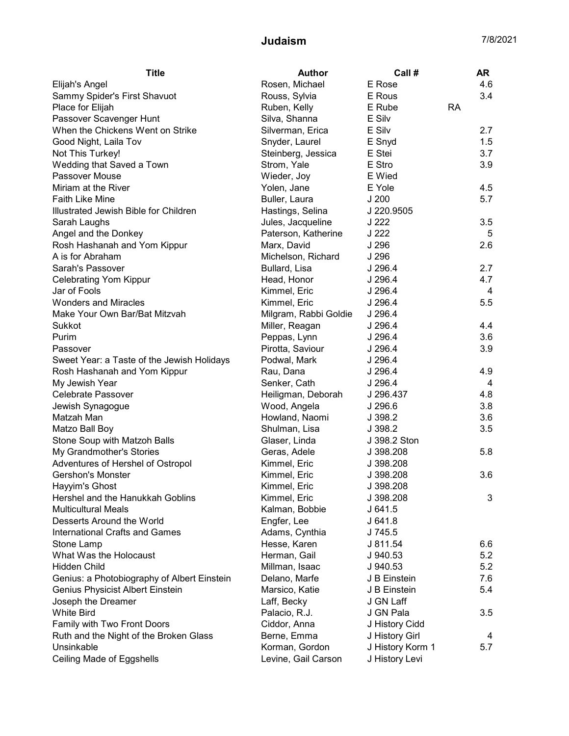## Judaism 7/8/2021

| <b>Title</b>                                | <b>Author</b>                  | Call #               |           | AR  |
|---------------------------------------------|--------------------------------|----------------------|-----------|-----|
| Elijah's Angel                              | Rosen, Michael                 | E Rose               |           | 4.6 |
| Sammy Spider's First Shavuot                | Rouss, Sylvia                  | E Rous               |           | 3.4 |
| Place for Elijah                            | Ruben, Kelly                   | E Rube               | <b>RA</b> |     |
| Passover Scavenger Hunt                     | Silva, Shanna                  | E Silv               |           |     |
| When the Chickens Went on Strike            | Silverman, Erica               | E Silv               |           | 2.7 |
| Good Night, Laila Tov                       | Snyder, Laurel                 | E Snyd               |           | 1.5 |
| Not This Turkey!                            | Steinberg, Jessica             | E Stei               |           | 3.7 |
| Wedding that Saved a Town                   | Strom, Yale                    | E Stro               |           | 3.9 |
| Passover Mouse                              | Wieder, Joy                    | E Wied               |           |     |
| Miriam at the River                         | Yolen, Jane                    | E Yole               |           | 4.5 |
| <b>Faith Like Mine</b>                      | Buller, Laura                  | J200                 |           | 5.7 |
| Illustrated Jewish Bible for Children       | Hastings, Selina               | J 220.9505           |           |     |
| Sarah Laughs                                | Jules, Jacqueline              | J 222                |           | 3.5 |
| Angel and the Donkey                        | Paterson, Katherine            | J 222                |           | 5   |
| Rosh Hashanah and Yom Kippur                | Marx, David                    | J 296                |           | 2.6 |
| A is for Abraham                            | Michelson, Richard             | J 296                |           |     |
| Sarah's Passover                            | Bullard, Lisa                  | J 296.4              |           | 2.7 |
| <b>Celebrating Yom Kippur</b>               | Head, Honor                    | J 296.4              |           | 4.7 |
| Jar of Fools                                | Kimmel, Eric                   | J 296.4              |           | 4   |
| <b>Wonders and Miracles</b>                 | Kimmel, Eric                   | J 296.4              |           | 5.5 |
| Make Your Own Bar/Bat Mitzvah               | Milgram, Rabbi Goldie          | J 296.4              |           |     |
| Sukkot                                      | Miller, Reagan                 | J 296.4              |           | 4.4 |
| Purim                                       | Peppas, Lynn                   | J 296.4              |           | 3.6 |
| Passover                                    | Pirotta, Saviour               | J 296.4              |           | 3.9 |
| Sweet Year: a Taste of the Jewish Holidays  | Podwal, Mark                   | $J$ 296.4            |           |     |
| Rosh Hashanah and Yom Kippur                | Rau, Dana                      | J 296.4              |           | 4.9 |
| My Jewish Year                              | Senker, Cath                   | J 296.4              |           | 4   |
| Celebrate Passover                          | Heiligman, Deborah             | J 296.437            |           | 4.8 |
| Jewish Synagogue                            | Wood, Angela                   | J 296.6              |           | 3.8 |
| Matzah Man                                  | Howland, Naomi                 | J 398.2              |           | 3.6 |
| Matzo Ball Boy                              | Shulman, Lisa                  | J 398.2              |           | 3.5 |
| Stone Soup with Matzoh Balls                | Glaser, Linda                  | J 398.2 Ston         |           |     |
| My Grandmother's Stories                    | Geras, Adele                   | J 398.208            |           | 5.8 |
| Adventures of Hershel of Ostropol           | Kimmel, Eric                   | J 398.208            |           |     |
| <b>Gershon's Monster</b>                    | Kimmel, Eric                   | J 398.208            |           | 3.6 |
| Hayyim's Ghost                              | Kimmel, Eric                   | J 398.208            |           |     |
| Hershel and the Hanukkah Goblins            | Kimmel, Eric                   | J 398.208            |           | 3   |
| <b>Multicultural Meals</b>                  | Kalman, Bobbie                 | J 641.5              |           |     |
| Desserts Around the World                   | Engfer, Lee                    | J 641.8              |           |     |
| <b>International Crafts and Games</b>       | Adams, Cynthia                 | J 745.5              |           |     |
| Stone Lamp                                  | Hesse, Karen                   | J 811.54             |           | 6.6 |
| What Was the Holocaust                      |                                |                      |           | 5.2 |
| <b>Hidden Child</b>                         | Herman, Gail<br>Millman, Isaac | J 940.53<br>J 940.53 |           | 5.2 |
|                                             |                                |                      |           |     |
| Genius: a Photobiography of Albert Einstein | Delano, Marfe                  | J B Einstein         |           | 7.6 |
| Genius Physicist Albert Einstein            | Marsico, Katie                 | J B Einstein         |           | 5.4 |
| Joseph the Dreamer                          | Laff, Becky                    | J GN Laff            |           |     |
| <b>White Bird</b>                           | Palacio, R.J.                  | J GN Pala            |           | 3.5 |
| Family with Two Front Doors                 | Ciddor, Anna                   | J History Cidd       |           |     |
| Ruth and the Night of the Broken Glass      | Berne, Emma                    | J History Girl       |           | 4   |
| Unsinkable                                  | Korman, Gordon                 | J History Korm 1     |           | 5.7 |
| Ceiling Made of Eggshells                   | Levine, Gail Carson            | J History Levi       |           |     |